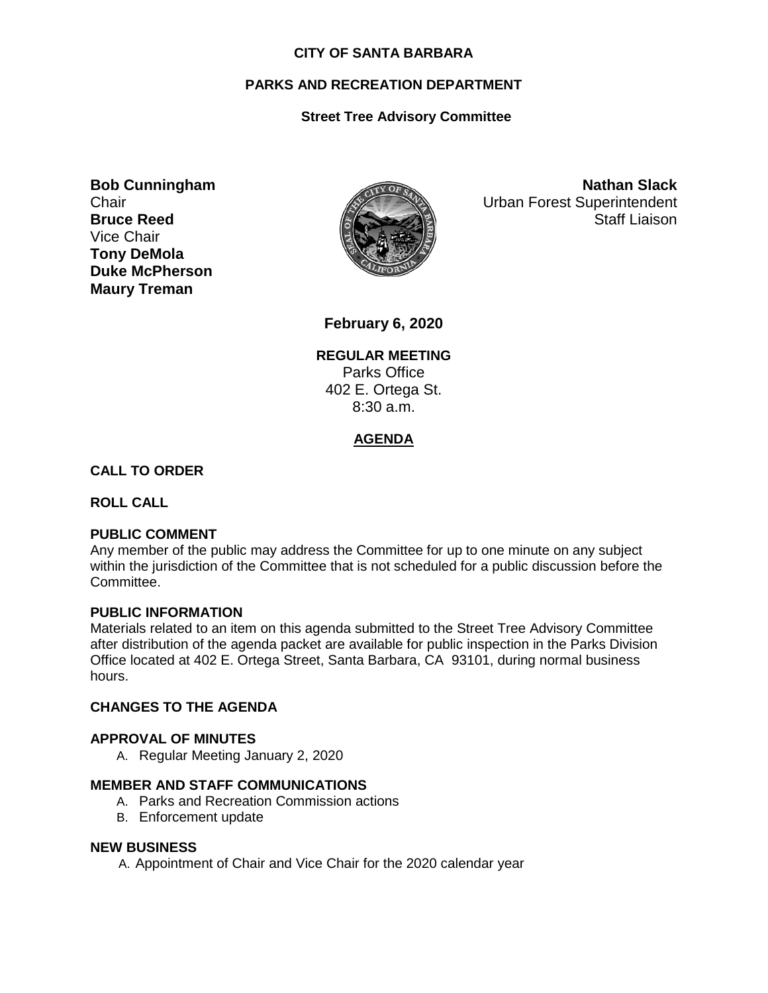#### **CITY OF SANTA BARBARA**

# **PARKS AND RECREATION DEPARTMENT**

# **Street Tree Advisory Committee**

**Bob Cunningham Chair Bruce Reed** Vice Chair **Tony DeMola Duke McPherson Maury Treman**



**Nathan Slack** Urban Forest Superintendent Staff Liaison

**February 6, 2020**

**REGULAR MEETING** Parks Office 402 E. Ortega St. 8:30 a.m.

# **AGENDA**

## **CALL TO ORDER**

**ROLL CALL**

## **PUBLIC COMMENT**

Any member of the public may address the Committee for up to one minute on any subject within the jurisdiction of the Committee that is not scheduled for a public discussion before the Committee.

#### **PUBLIC INFORMATION**

Materials related to an item on this agenda submitted to the Street Tree Advisory Committee after distribution of the agenda packet are available for public inspection in the Parks Division Office located at 402 E. Ortega Street, Santa Barbara, CA 93101, during normal business hours.

#### **CHANGES TO THE AGENDA**

#### **APPROVAL OF MINUTES**

A. Regular Meeting January 2, 2020

## **MEMBER AND STAFF COMMUNICATIONS**

- A. Parks and Recreation Commission actions
- B. Enforcement update

#### **NEW BUSINESS**

A. Appointment of Chair and Vice Chair for the 2020 calendar year